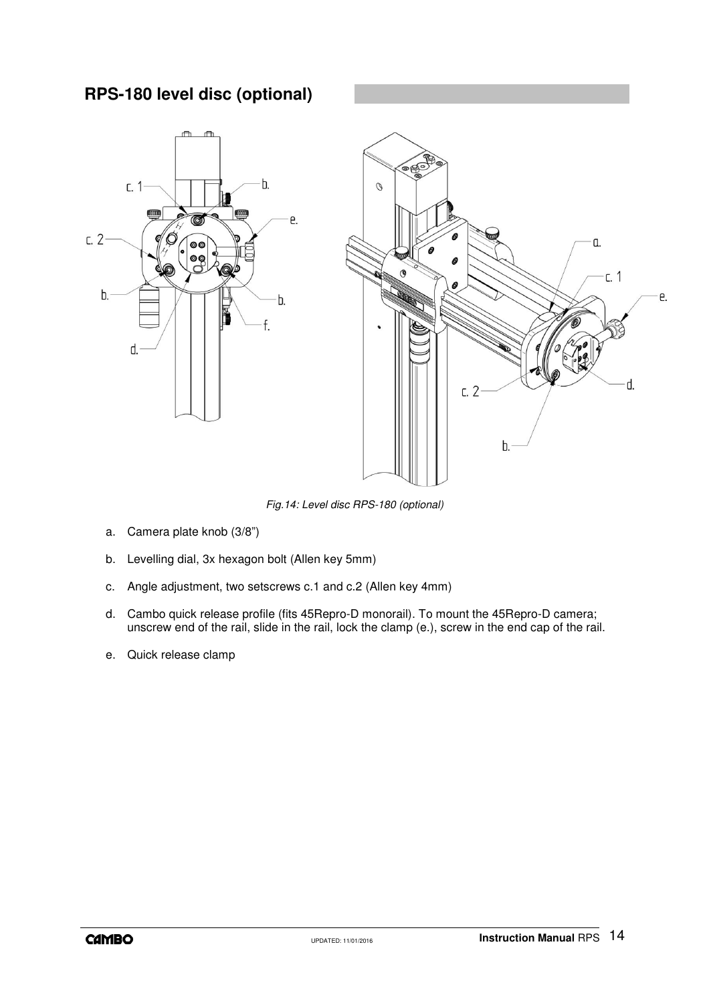## **RPS-180 level disc (optional)**



*Fig.14: Level disc RPS-180 (optional)*

- a. Camera plate knob (3/8")
- b. Levelling dial, 3x hexagon bolt (Allen key 5mm)
- c. Angle adjustment, two setscrews c.1 and c.2 (Allen key 4mm)
- d. Cambo quick release profile (fits 45Repro-D monorail). To mount the 45Repro-D camera; unscrew end of the rail, slide in the rail, lock the clamp (e.), screw in the end cap of the rail.
- e. Quick release clamp